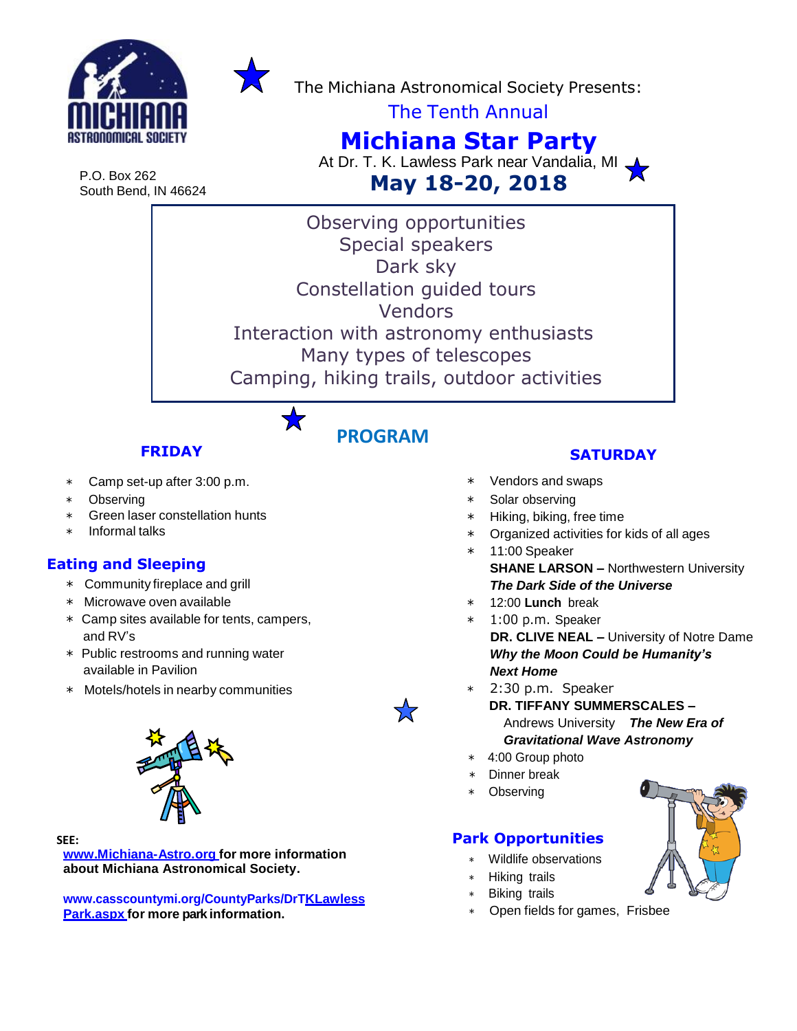



The Michiana Astronomical Society Presents:

The Tenth Annual

# **Michiana Star Party**

At Dr. T. K. Lawless Park near Vandalia, MI **May 18-20, 2018**

P.O. Box 262 South Bend, IN 46624

> Observing opportunities Special speakers Dark sky Constellation guided tours Vendors Interaction with astronomy enthusiasts Many types of telescopes Camping, hiking trails, outdoor activities

> > **PROGRAM**

## **FRIDAY**

- ∗ Camp set-up after 3:00 p.m.
- Observing
- Green laser constellation hunts
- ∗ Informal talks

### **Eating and Sleeping**

- ∗ Community fireplace and grill
- ∗ Microwave oven available
- ∗ Camp sites available for tents, campers, and RV's
- ∗ Public restrooms and running water available in Pavilion
- ∗ Motels/hotels in nearby communities



#### **SEE:**

**[www.Michiana-Astro.org](http://www.michiana-astro.org/) for more information about Michiana Astronomical Society.**

**[www.casscountymi.org/CountyParks/DrTK](http://www.casscountymi.org/CountyParks/DrT)Lawless Park.aspx for more park information.**

## **SATURDAY**

- ∗ Vendors and swaps
- Solar observing
- Hiking, biking, free time
- Organized activities for kids of all ages
- ∗ 11:00 Speaker **SHANE LARSON –** Northwestern University *The Dark Side of the Universe*
- ∗ 12:00 **Lunch** break
- ∗ 1:00 p.m. Speaker **DR. CLIVE NEAL –** University of Notre Dame *Why the Moon Could be Humanity's Next Home*
- 2:30 p.m. Speaker
	- **DR. TIFFANY SUMMERSCALES**  Andrews University *The New Era of Gravitational Wave Astronomy*
- ∗ 4:00 Group photo
- ∗ Dinner break
- **Observing**

### **Park Opportunities**

- ∗ Wildlife observations
- ∗ Hiking trails
- **Biking trails**
- Open fields for games, Frisbee